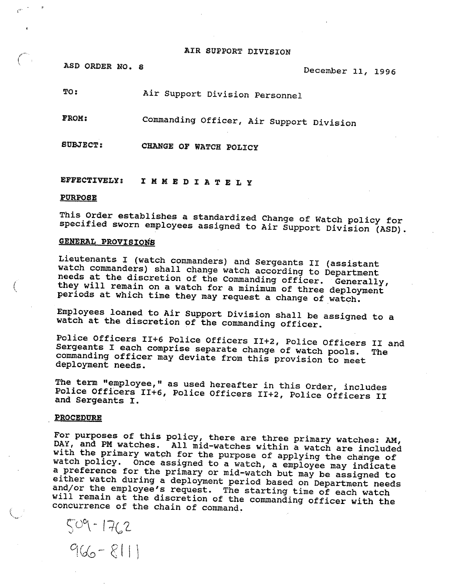#### AIR SUPPORT DIVISION

ASD ORDER NO. 8

4..

E

December 11, 1996

TO: Air Support Division Personnel

FROM: Commanding Officer, Air Suppart Division

SOBJECT: OF WATCH PO

EFFECTIPELY:I M M E D I A T E L Y

#### PURPdSE

<sup>T</sup>his Order establishes a standardized Change of watch policy for <sup>s</sup>pecified sworn employees assigned to Air Support Division (ASD).

# GENERAL PROVISIONS

Lieutenants I (watch commanders) and Sergeants II (assistant watch commanders) shall change watch according to Department<br>needs at the discretion of the Commanding officer. Generally, they will remain on a watch for a minimum of three deployment <sup>p</sup>eriods at which time they may request a change of watch.

<sup>E</sup>mployees loaned to Air Support Division shall he assigned to <sup>a</sup> <sup>w</sup>atch at the discretion of the commanding officer.

Police Officers II+6 Police Officers II+2, Police Officers II and Sergeants I each comprise separate change of watch pools. The commanding officer may deviate from this provision to meet deployment needs.

The term "employee," as used hereafter in this Order, includes Police Officers II+6, Police Officers II+2, Police Officers II and Sergeants I.

#### **PROCEDURE**

<sup>F</sup>or purposes of this policy, there are three primary watches: AM, <sup>D</sup>AY, and PM watches. All mid-watches within a watch are included with the primary watch for the purpose of applying the change of watch policy. Once assigned to a watch, a employee may indicate <sup>a</sup> preference for the primary or mid-watch but may be assigned to either watch during a deployment period based on Department needs <sup>a</sup>nd/or the employee's request. The starting time of each watch <sup>w</sup>ill remain at the discretion of the commanding officer with the <sup>c</sup>oncurrence of the chain of command.

 $7 - 1 - 1 - 6$  $966 - 811$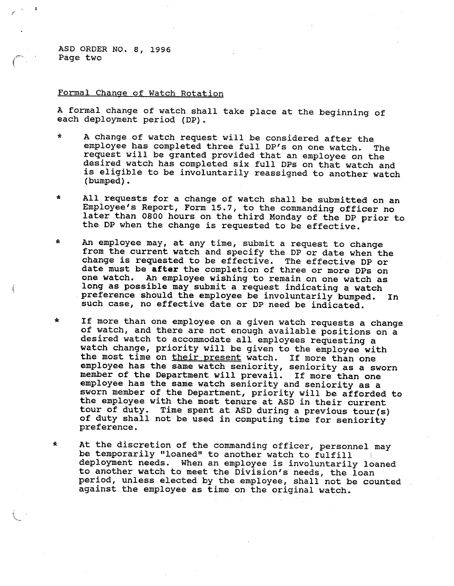ASD ORDER NO. 8, 1996 Page two

 $\star$ 

## Formal Change of Watch Rotation

<sup>A</sup> formal change of watch shall take place at the beginning of <sup>e</sup>ach deployment period (DP}.

- \* <sup>A</sup>change of watch request will be considered after the employee has completed three full DP's on one watch. The <sup>r</sup>equest will be granted provided that an employee on the desired watch has completed six full DPs on that watch and is eligible to be involuntarily reassigned to another watch (bumped}.
- \*All requests for a change of watch shall be submitted on an Employee's Report, Form 15.7, to the commanding officer no later than 0800 hours on the third Monday of the DP prior to <sup>t</sup>he DP when the change is requested to be effective.
- \* An employee may, at any time, submit a request to change from the current watch and specify the DP or date when the <sup>c</sup>hange is requested to be effective. The effective DP or date must be after the completion of three or more DPs on one watch. An employee wishing to remain on one watch as <sup>l</sup>ong as possible may submit a request indicating a watch . preference should the employee be involuntarily bumped. In such case, no effective date or DP need be indicated.
- \*If more than one employee on a given watch requests a change <sup>o</sup>f watch, and there are not enough available positions on <sup>a</sup> <sup>d</sup>esired watch to accommodate all employees requesting <sup>a</sup> <sup>w</sup>atch change, priority will be given to the employee with the most time on their present watch. If more than one <sup>e</sup>mployee has the same watch seniority, seniority as a sworn member of the Department will prevail. If more than one <sup>e</sup>mployee has the same watch seniority and seniority as <sup>a</sup> sworn member of the Department, priority will be afforded to <sup>t</sup>he employee with the most tenure at ASD in their current tour of duty. Time spent at ASD during a previous tour(s) <sup>o</sup>f duty shall not be used in computing time for seniority preference.

At the discretion of the commanding officer, personnel may be temporarily "loaned" to another watch to fulfill <sup>d</sup>eployment needs. When an employee is involuntarily loaned to another watch to meet the Division's needs, the loan <sup>p</sup>eriod, unless elected by the employee, shall not be counted <sup>a</sup>gainst the employee as time on the original watch.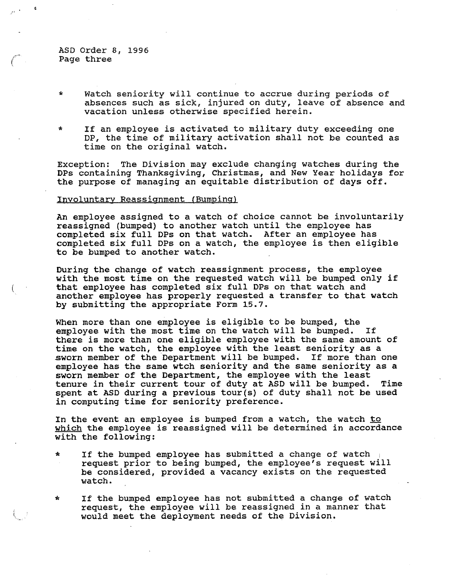ASD Order 8, 1996 Page three

- \* Watch seniority will continue to accrue during periods of absences such as sick, injured on duty, leave of absence and vacation unless otherwise specified herein.
- \* If an employee is activated to military duty exceeding one DP, the time of military activation shall not be counted as time on the original watch.

Exception: The Division may exclude changing watches during the DPs containing Thanksgiving, Christmas, and New Year holidays for the purpose of managing an equitable distribution of days off.

### Involuntary Reassignment (Bumping)

An employee assigned to a watch of choice cannot be involuntarily reassigned (bumped} to another watch until the employee has completed six full DPs on that watch. After an employee has completed six Pull DPs on a watch, the employee is then eligible to be bumped to another watch.

During the change of watch reassignment process, the employee with the most time on the requested watch will be bumped only if that employee has completed six full DPs on that watch and another employee has properly requested a transfer to that watch by submitting the appropriate Form 15.7.

When more than one employee is eligible to be bumped, the employee with the most time on the watch will be bumped. If there is mare than one eligible employee with the same amount of time on the watch, the employee with the least seniority as a<br>sworn member of the Department will be bumped. If more than one sworn member of the Department will be bumped. employee has the same wtch seniority and the same seniority as a sworn member of the Department, the employee with the least tenure in their current tour of duty at ASD will be bumped. Time spent at ASD during a previous tour(s) of duty shall not be used in computing time for seniority preference.

In the event an employee is bumped from a watch, the watch to which the employee is reassigned will be determined in accordance with the following:

- \* If the bumped emplpyee has submitted a change of watch request prior to being bumped, the employee's request will be considered, provided a vacancy exists on the requested watch.
- \* If the bumped employee has not submitted a change of watch request, the employee will be reassigned in a manner that would meet the deployment needs of the Division.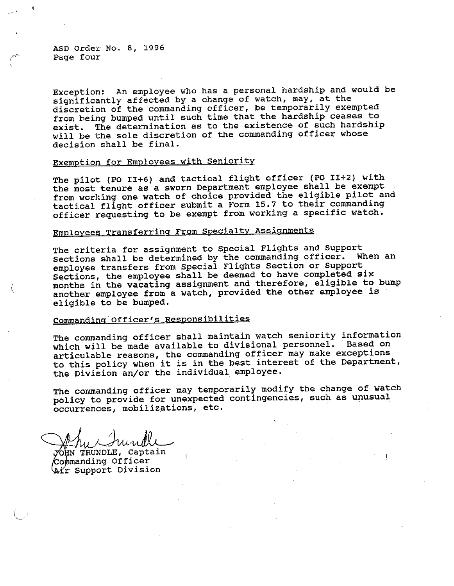ASD Order No. 8, 1996 Page four

A

<sup>E</sup>xception: An employee who has a personal hardship and would be significantly affected by a change of watch, may, at the <sup>d</sup>iscretion of the commanding officer, be temporarily exempted <sup>f</sup>rom being bumped until such time that the hardship ceases to <sup>e</sup>xist. The determination as to the existence of such hardship <sup>w</sup>ill be the sole discretion of the commanding officer whose decision shall be final.

# Exemption for Employees with Seniority

<sup>T</sup>he pilot (PO II+6) and tactical flight officer (PO II+2) with the most tenure as a sworn Department employee shall be exempt <sup>f</sup>rom working one watch of choice provided the eligible pilot and <sup>t</sup>actical flight officer submit a Form 15.7 to their commanding <sup>o</sup>fficer requesting to be exempt from working a specific watch.

# Employees Transferring From Specialty Assignments

<sup>T</sup>he criteria for assignment to Special Flights and Support <sup>S</sup>ections shall be determined by the commanding officer. When an <sup>e</sup>mployee transfers from Special Flights Section or Support <sup>S</sup>ections, the employee shall be deemed to have completed six <sup>m</sup>onths in the vacating assignment and therefore, eligible to bump another employee from a watch, provided the other employee is <sup>e</sup>ligible to be bumped.

## <sup>C</sup>ommanding Officer's Responsibilities

<sup>T</sup>he commanding officer shall maintain watch seniority information which will be made available to divisional personnel. Based on articulable reasons, the commanding officer may make exceptions <sup>t</sup>o this policy when it is in the best interest of the Department, <sup>t</sup>he Division an/or the individual employee.

<sup>T</sup>he commanding officer may temporarily modify the change of watch policy to provide for unexpected contingencies, such as unusual <sup>o</sup>ccurrences, mobilizations, etc.

 $m_{\ell}$  / survey  $\overline{\mathrm{y}}$ OHN TRUNDLE, Captain

Commanding Officer Aír Support Division